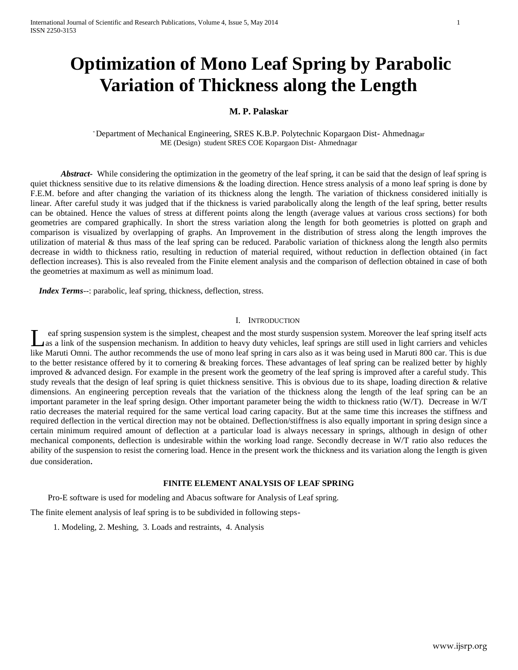# **Optimization of Mono Leaf Spring by Parabolic Variation of Thickness along the Length**

## **M. P. Palaskar**

\* Department of Mechanical Engineering, SRES K.B.P. Polytechnic Kopargaon Dist- Ahmednagar ME (Design) student SRES COE Kopargaon Dist- Ahmednagar

*Abstract-* While considering the optimization in the geometry of the leaf spring, it can be said that the design of leaf spring is quiet thickness sensitive due to its relative dimensions & the loading direction. Hence stress analysis of a mono leaf spring is done by F.E.M. before and after changing the variation of its thickness along the length. The variation of thickness considered initially is linear. After careful study it was judged that if the thickness is varied parabolically along the length of the leaf spring, better results can be obtained. Hence the values of stress at different points along the length (average values at various cross sections) for both geometries are compared graphically. In short the stress variation along the length for both geometries is plotted on graph and comparison is visualized by overlapping of graphs. An Improvement in the distribution of stress along the length improves the utilization of material & thus mass of the leaf spring can be reduced. Parabolic variation of thickness along the length also permits decrease in width to thickness ratio, resulting in reduction of material required, without reduction in deflection obtained (in fact deflection increases). This is also revealed from the Finite element analysis and the comparison of deflection obtained in case of both the geometries at maximum as well as minimum load.

 *Index Terms*--: parabolic, leaf spring, thickness, deflection, stress.

#### I. INTRODUCTION

eaf spring suspension system is the simplest, cheapest and the most sturdy suspension system. Moreover the leaf spring itself acts as a link of the suspension mechanism. In addition to heavy duty vehicles, leaf springs are still used in light carriers and vehicles Las a link of the suspension system is the simplest, cheapest and the most sturdy suspension system. Moreover the leaf spring itself acts as a link of the suspension mechanism. In addition to heavy duty vehicles, leaf spri to the better resistance offered by it to cornering & breaking forces. These advantages of leaf spring can be realized better by highly improved & advanced design. For example in the present work the geometry of the leaf spring is improved after a careful study. This study reveals that the design of leaf spring is quiet thickness sensitive. This is obvious due to its shape, loading direction & relative dimensions. An engineering perception reveals that the variation of the thickness along the length of the leaf spring can be an important parameter in the leaf spring design. Other important parameter being the width to thickness ratio (W/T). Decrease in W/T ratio decreases the material required for the same vertical load caring capacity. But at the same time this increases the stiffness and required deflection in the vertical direction may not be obtained. Deflection/stiffness is also equally important in spring design since a certain minimum required amount of deflection at a particular load is always necessary in springs, although in design of other mechanical components, deflection is undesirable within the working load range. Secondly decrease in W/T ratio also reduces the ability of the suspension to resist the cornering load. Hence in the present work the thickness and its variation along the length is given due consideration.

### **FINITE ELEMENT ANALYSIS OF LEAF SPRING**

Pro-E software is used for modeling and Abacus software for Analysis of Leaf spring.

The finite element analysis of leaf spring is to be subdivided in following steps-

1. Modeling, 2. Meshing, 3. Loads and restraints, 4. Analysis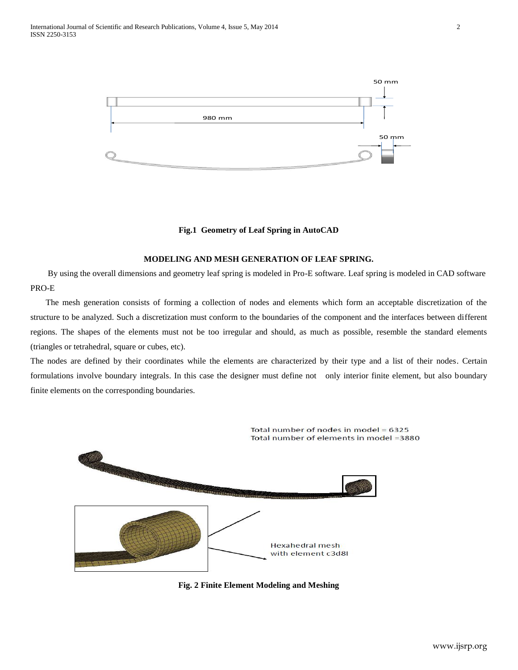

#### **Fig.1 Geometry of Leaf Spring in AutoCAD**

#### **MODELING AND MESH GENERATION OF LEAF SPRING.**

By using the overall dimensions and geometry leaf spring is modeled in Pro-E software. Leaf spring is modeled in CAD software PRO-E

The mesh generation consists of forming a collection of nodes and elements which form an acceptable discretization of the structure to be analyzed. Such a discretization must conform to the boundaries of the component and the interfaces between different regions. The shapes of the elements must not be too irregular and should, as much as possible, resemble the standard elements (triangles or tetrahedral, square or cubes, etc).

The nodes are defined by their coordinates while the elements are characterized by their type and a list of their nodes. Certain formulations involve boundary integrals. In this case the designer must define not only interior finite element, but also boundary finite elements on the corresponding boundaries.



**Fig. 2 Finite Element Modeling and Meshing**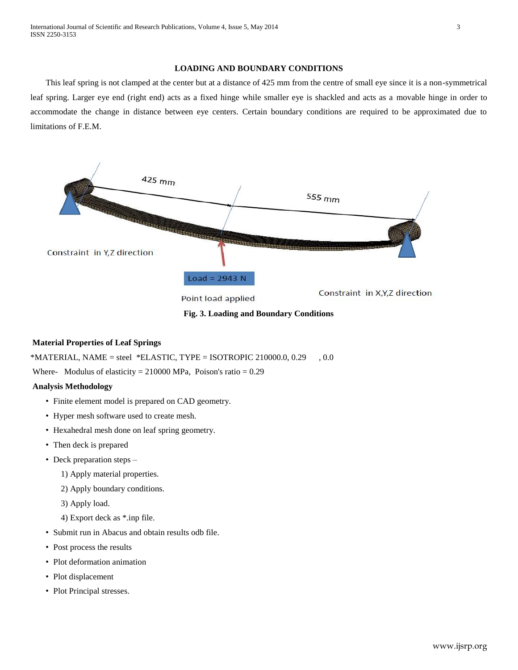## **LOADING AND BOUNDARY CONDITIONS**

This leaf spring is not clamped at the center but at a distance of 425 mm from the centre of small eye since it is a non-symmetrical leaf spring. Larger eye end (right end) acts as a fixed hinge while smaller eye is shackled and acts as a movable hinge in order to accommodate the change in distance between eye centers. Certain boundary conditions are required to be approximated due to limitations of F.E.M.



**Fig. 3. Loading and Boundary Conditions**

# **Material Properties of Leaf Springs**

 $*$ MATERIAL, NAME = steel  $*$ ELASTIC, TYPE = ISOTROPIC 210000.0, 0.29 , 0.0

Where- Modulus of elasticity =  $210000$  MPa, Poison's ratio =  $0.29$ 

# **Analysis Methodology**

- Finite element model is prepared on CAD geometry.
- Hyper mesh software used to create mesh.
- Hexahedral mesh done on leaf spring geometry.
- Then deck is prepared
- Deck preparation steps
	- 1) Apply material properties.
	- 2) Apply boundary conditions.
	- 3) Apply load.
	- 4) Export deck as \*.inp file.
- Submit run in Abacus and obtain results odb file.
- Post process the results
- Plot deformation animation
- Plot displacement
- Plot Principal stresses.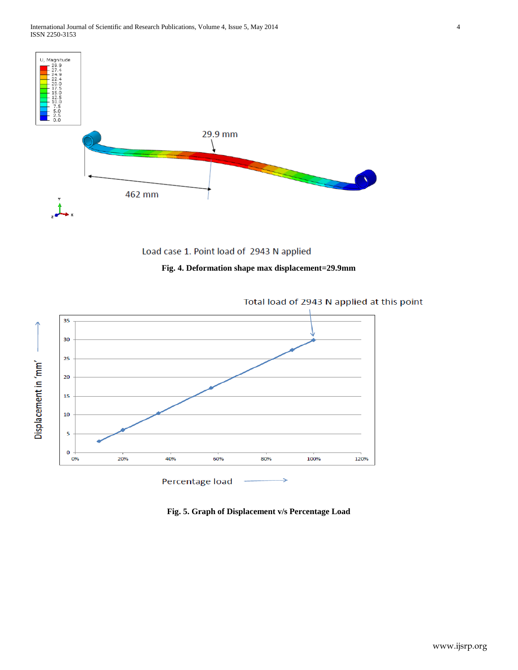



# **Fig. 4. Deformation shape max displacement=29.9mm**



Total load of 2943 N applied at this point

**Fig. 5. Graph of Displacement v/s Percentage Load**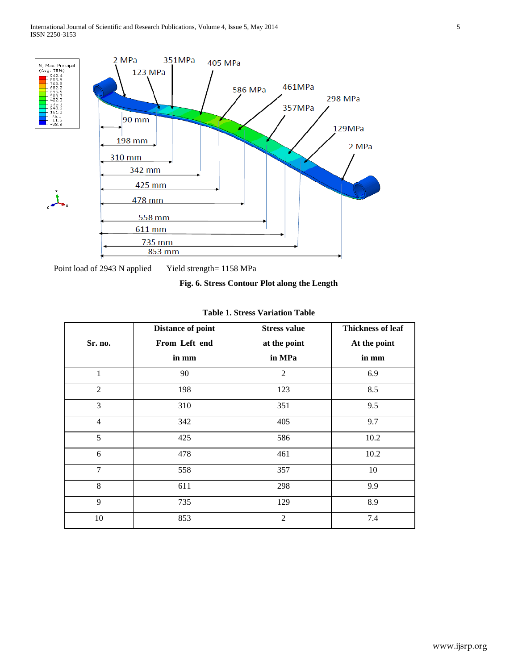

Point load of 2943 N applied Yield strength= 1158 MPa

## **Fig. 6. Stress Contour Plot along the Length**

| Sr. no.        | <b>Distance of point</b><br>From Left end<br>in mm | <b>Stress value</b><br>at the point<br>in MPa | <b>Thickness of leaf</b><br>At the point<br>in mm |
|----------------|----------------------------------------------------|-----------------------------------------------|---------------------------------------------------|
| $\mathbf{1}$   | 90                                                 | $\overline{2}$                                | 6.9                                               |
| $\overline{2}$ | 198                                                | 123                                           | 8.5                                               |
| 3              | 310                                                | 351                                           | 9.5                                               |
| $\overline{4}$ | 342                                                | 405                                           | 9.7                                               |
| 5              | 425                                                | 586                                           | 10.2                                              |
| 6              | 478                                                | 461                                           | 10.2                                              |
| 7              | 558                                                | 357                                           | 10                                                |
| 8              | 611                                                | 298                                           | 9.9                                               |
| 9              | 735                                                | 129                                           | 8.9                                               |
| 10             | 853                                                | $\overline{2}$                                | 7.4                                               |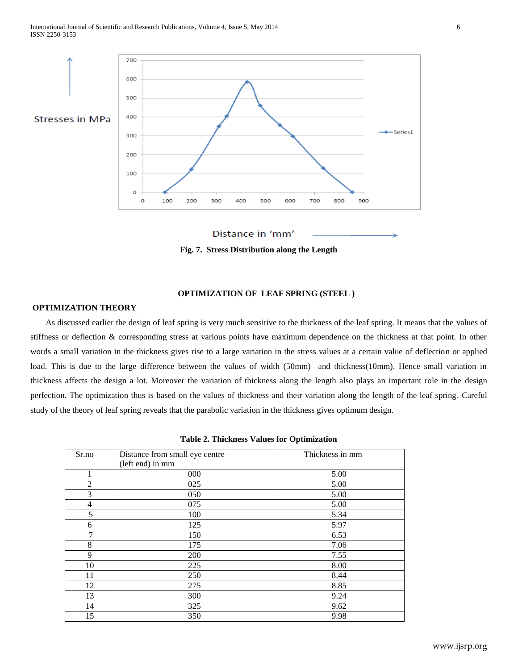



**Fig. 7. Stress Distribution along the Length** 

# **OPTIMIZATION OF LEAF SPRING (STEEL )**

## **OPTIMIZATION THEORY**

As discussed earlier the design of leaf spring is very much sensitive to the thickness of the leaf spring. It means that the values of stiffness or deflection & corresponding stress at various points have maximum dependence on the thickness at that point. In other words a small variation in the thickness gives rise to a large variation in the stress values at a certain value of deflection or applied load. This is due to the large difference between the values of width (50mm) and thickness(10mm). Hence small variation in thickness affects the design a lot. Moreover the variation of thickness along the length also plays an important role in the design perfection. The optimization thus is based on the values of thickness and their variation along the length of the leaf spring. Careful study of the theory of leaf spring reveals that the parabolic variation in the thickness gives optimum design.

| Sr.no          | Distance from small eye centre | Thickness in mm |
|----------------|--------------------------------|-----------------|
|                | (left end) in mm               |                 |
| 1              | 000                            | 5.00            |
| $\overline{2}$ | 025                            | 5.00            |
| 3              | 050                            | 5.00            |
| $\overline{4}$ | 075                            | 5.00            |
| 5              | 100                            | 5.34            |
| 6              | 125                            | 5.97            |
| 7              | 150                            | 6.53            |
| 8              | 175                            | 7.06            |
| 9              | 200                            | 7.55            |
| 10             | 225                            | 8.00            |
| 11             | 250                            | 8.44            |
| 12             | 275                            | 8.85            |
| 13             | 300                            | 9.24            |
| 14             | 325                            | 9.62            |
| 15             | 350                            | 9.98            |

|  |  |  |  | <b>Table 2. Thickness Values for Optimization</b> |
|--|--|--|--|---------------------------------------------------|
|--|--|--|--|---------------------------------------------------|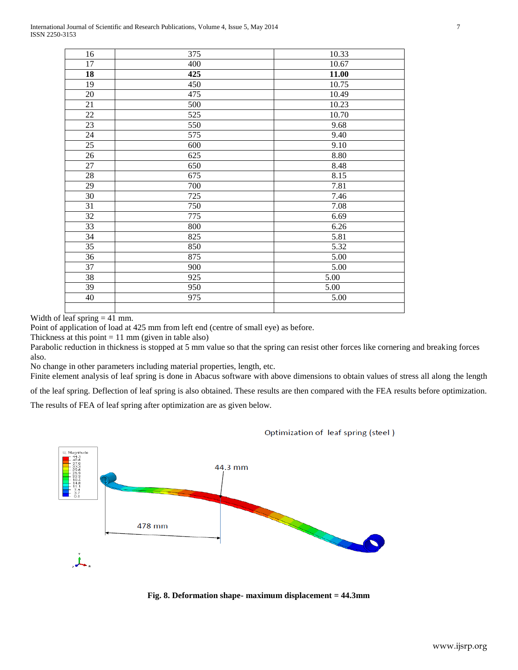| 16     | 375 | 10.33 |
|--------|-----|-------|
| 17     | 400 | 10.67 |
| 18     | 425 | 11.00 |
| 19     | 450 | 10.75 |
| 20     | 475 | 10.49 |
| 21     | 500 | 10.23 |
| 22     | 525 | 10.70 |
| 23     | 550 | 9.68  |
| 24     | 575 | 9.40  |
| 25     | 600 | 9.10  |
| 26     | 625 | 8.80  |
| $27\,$ | 650 | 8.48  |
| 28     | 675 | 8.15  |
| 29     | 700 | 7.81  |
| 30     | 725 | 7.46  |
| 31     | 750 | 7.08  |
| 32     | 775 | 6.69  |
| 33     | 800 | 6.26  |
| 34     | 825 | 5.81  |
| 35     | 850 | 5.32  |
| 36     | 875 | 5.00  |
| 37     | 900 | 5.00  |
| 38     | 925 | 5.00  |
| 39     | 950 | 5.00  |
| 40     | 975 | 5.00  |
|        |     |       |

Width of leaf spring  $= 41$  mm.

Point of application of load at 425 mm from left end (centre of small eye) as before.

Thickness at this point  $= 11$  mm (given in table also)

Parabolic reduction in thickness is stopped at 5 mm value so that the spring can resist other forces like cornering and breaking forces also.

No change in other parameters including material properties, length, etc.

Finite element analysis of leaf spring is done in Abacus software with above dimensions to obtain values of stress all along the length

of the leaf spring. Deflection of leaf spring is also obtained. These results are then compared with the FEA results before optimization.

The results of FEA of leaf spring after optimization are as given below.



Optimization of leaf spring (steel)

**Fig. 8. Deformation shape- maximum displacement = 44.3mm**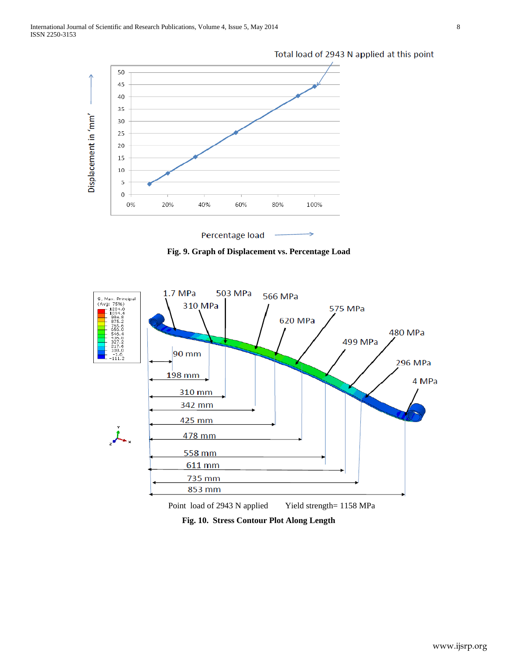

Total load of 2943 N applied at this point





**Fig. 10. Stress Contour Plot Along Length**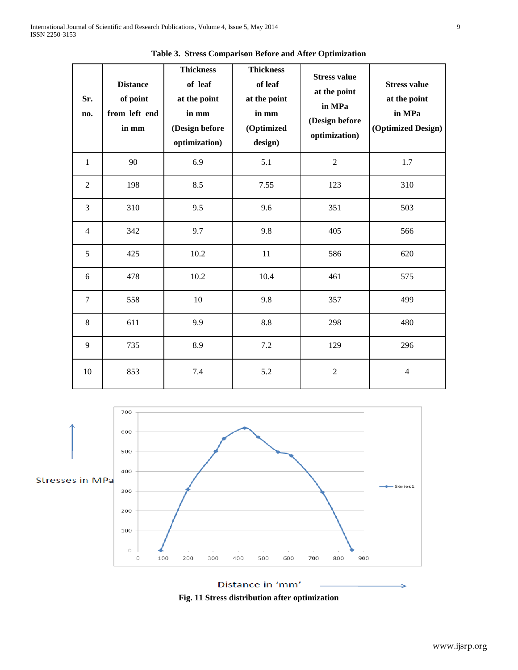| Sr.<br>no.     | <b>Distance</b><br>of point<br>from left end<br>in $mm$ | <b>Thickness</b><br>of leaf<br>at the point<br>in mm<br>(Design before<br>optimization) | <b>Thickness</b><br>of leaf<br>at the point<br>in mm<br>(Optimized<br>design) | <b>Stress value</b><br>at the point<br>in MPa<br>(Design before<br>optimization) | <b>Stress value</b><br>at the point<br>in MPa<br>(Optimized Design) |
|----------------|---------------------------------------------------------|-----------------------------------------------------------------------------------------|-------------------------------------------------------------------------------|----------------------------------------------------------------------------------|---------------------------------------------------------------------|
| $\mathbf{1}$   | 90                                                      | 6.9                                                                                     | 5.1                                                                           | $\overline{2}$                                                                   | 1.7                                                                 |
| $\sqrt{2}$     | 198                                                     | 8.5                                                                                     | 7.55                                                                          | 123                                                                              | 310                                                                 |
| 3              | 310                                                     | 9.5                                                                                     | 9.6                                                                           | 351                                                                              | 503                                                                 |
| $\overline{4}$ | 342                                                     | 9.7                                                                                     | 9.8                                                                           | 405                                                                              | 566                                                                 |
| 5              | 425                                                     | 10.2                                                                                    | 11                                                                            | 586                                                                              | 620                                                                 |
| 6              | 478                                                     | 10.2                                                                                    | 10.4                                                                          | 461                                                                              | 575                                                                 |
| $\overline{7}$ | 558                                                     | 10                                                                                      | 9.8                                                                           | 357                                                                              | 499                                                                 |
| $\,8\,$        | 611                                                     | 9.9                                                                                     | 8.8                                                                           | 298                                                                              | 480                                                                 |
| 9              | 735                                                     | 8.9                                                                                     | 7.2                                                                           | 129                                                                              | 296                                                                 |
| 10             | 853                                                     | 7.4                                                                                     | 5.2                                                                           | $\overline{2}$                                                                   | $\overline{4}$                                                      |

**Table 3. Stress Comparison Before and After Optimization**



Distance in 'mm' **Fig. 11 Stress distribution after optimization**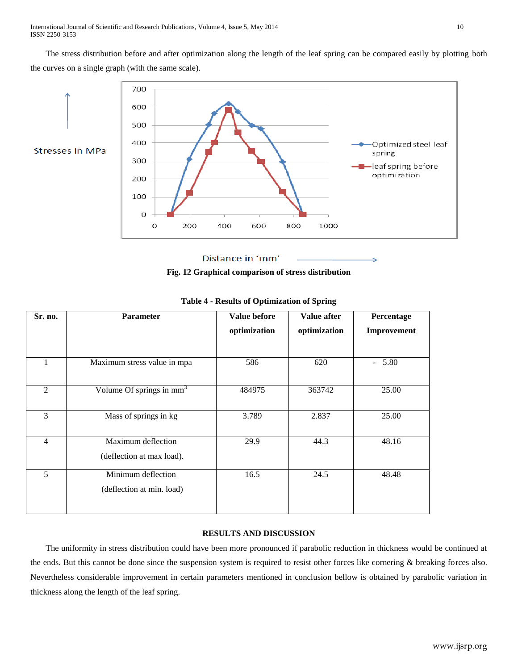The stress distribution before and after optimization along the length of the leaf spring can be compared easily by plotting both the curves on a single graph (with the same scale).



Distance in 'mm'

**Fig. 12 Graphical comparison of stress distribution**

| Sr. no.        | <b>Parameter</b>                     | <b>Value before</b> | Value after  | Percentage  |
|----------------|--------------------------------------|---------------------|--------------|-------------|
|                |                                      | optimization        | optimization | Improvement |
|                |                                      |                     |              |             |
|                | Maximum stress value in mpa          | 586                 | 620          | $-5.80$     |
|                |                                      |                     |              |             |
| 2              | Volume Of springs in mm <sup>3</sup> | 484975              | 363742       | 25.00       |
|                |                                      |                     |              |             |
| 3              | Mass of springs in kg                | 3.789               | 2.837        | 25.00       |
|                |                                      |                     |              |             |
| $\overline{4}$ | Maximum deflection                   | 29.9                | 44.3         | 48.16       |
|                | (deflection at max load).            |                     |              |             |
| 5              | Minimum deflection                   | 16.5                | 24.5         | 48.48       |
|                | (deflection at min. load)            |                     |              |             |
|                |                                      |                     |              |             |

## **Table 4 - Results of Optimization of Spring**

# **RESULTS AND DISCUSSION**

The uniformity in stress distribution could have been more pronounced if parabolic reduction in thickness would be continued at the ends. But this cannot be done since the suspension system is required to resist other forces like cornering & breaking forces also. Nevertheless considerable improvement in certain parameters mentioned in conclusion bellow is obtained by parabolic variation in thickness along the length of the leaf spring.